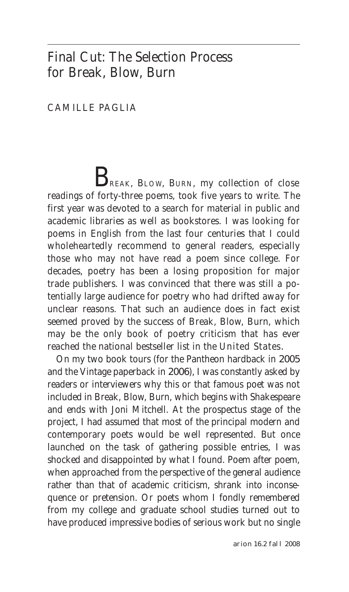# Final Cut: The Selection Process for *Break, Blow, Burn*

CAMILLE PAGLIA

**B**REAK, BLOW, BURN, my collection of close readings of forty-three poems, took five years to write. The first year was devoted to a search for material in public and academic libraries as well as bookstores. I was looking for poems in English from the last four centuries that I could wholeheartedly recommend to general readers, especially those who may not have read a poem since college. For decades, poetry has been a losing proposition for major trade publishers. I was convinced that there was still a potentially large audience for poetry who had drifted away for unclear reasons. That such an audience does in fact exist seemed proved by the success of *Break, Blow, Burn*, which may be the only book of poetry criticism that has ever reached the national bestseller list in the United States.

On my two book tours (for the Pantheon hardback in 2005 and the Vintage paperback in 2006), I was constantly asked by readers or interviewers why this or that famous poet was not included in *Break, Blow, Burn*, which begins with Shakespeare and ends with Joni Mitchell. At the prospectus stage of the project, I had assumed that most of the principal modern and contemporary poets would be well represented. But once launched on the task of gathering possible entries, I was shocked and disappointed by what I found. Poem after poem, when approached from the perspective of the general audience rather than that of academic criticism, shrank into inconsequence or pretension. Or poets whom I fondly remembered from my college and graduate school studies turned out to have produced impressive bodies of serious work but no single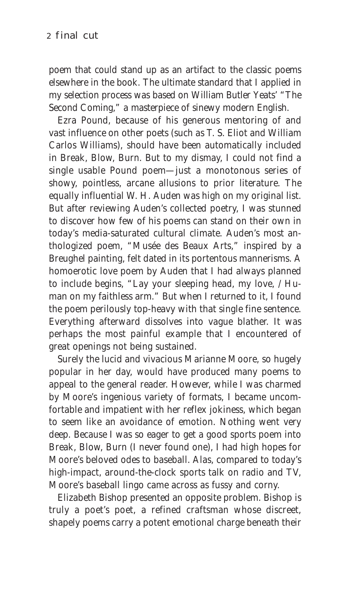poem that could stand up as an artifact to the classic poems elsewhere in the book. The ultimate standard that I applied in my selection process was based on William Butler Yeats' "The Second Coming," a masterpiece of sinewy modern English.

Ezra Pound, because of his generous mentoring of and vast influence on other poets (such as T. S. Eliot and William Carlos Williams), should have been automatically included in *Break, Blow, Burn*. But to my dismay, I could not find a single usable Pound poem—just a monotonous series of showy, pointless, arcane allusions to prior literature. The equally influential W. H. Auden was high on my original list. But after reviewing Auden's collected poetry, I was stunned to discover how few of his poems can stand on their own in today's media-saturated cultural climate. Auden's most anthologized poem, "Musée des Beaux Arts," inspired by a Breughel painting, felt dated in its portentous mannerisms. A homoerotic love poem by Auden that I had always planned to include begins, "Lay your sleeping head, my love, / Human on my faithless arm." But when I returned to it, I found the poem perilously top-heavy with that single fine sentence. Everything afterward dissolves into vague blather. It was perhaps the most painful example that I encountered of great openings not being sustained.

Surely the lucid and vivacious Marianne Moore, so hugely popular in her day, would have produced many poems to appeal to the general reader. However, while I was charmed by Moore's ingenious variety of formats, I became uncomfortable and impatient with her reflex jokiness, which began to seem like an avoidance of emotion. Nothing went very deep. Because I was so eager to get a good sports poem into *Break, Blow, Burn* (I never found one), I had high hopes for Moore's beloved odes to baseball. Alas, compared to today's high-impact, around-the-clock sports talk on radio and TV, Moore's baseball lingo came across as fussy and corny.

Elizabeth Bishop presented an opposite problem. Bishop is truly a poet's poet, a refined craftsman whose discreet, shapely poems carry a potent emotional charge beneath their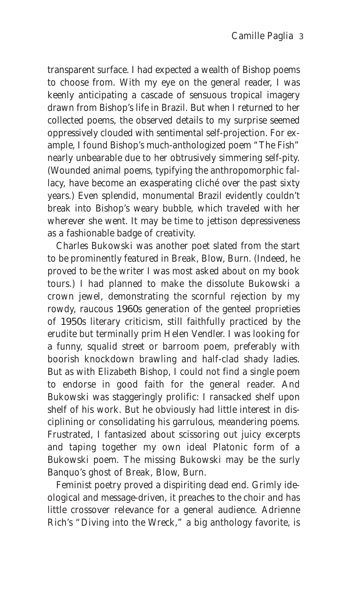transparent surface. I had expected a wealth of Bishop poems to choose from. With my eye on the general reader, I was keenly anticipating a cascade of sensuous tropical imagery drawn from Bishop's life in Brazil. But when I returned to her collected poems, the observed details to my surprise seemed oppressively clouded with sentimental self-projection. For example, I found Bishop's much-anthologized poem "The Fish" nearly unbearable due to her obtrusively simmering self-pity. (Wounded animal poems, typifying the anthropomorphic fallacy, have become an exasperating cliché over the past sixty years.) Even splendid, monumental Brazil evidently couldn't break into Bishop's weary bubble, which traveled with her wherever she went. It may be time to jettison depressiveness as a fashionable badge of creativity.

Charles Bukowski was another poet slated from the start to be prominently featured in *Break, Blow, Burn*. (Indeed, he proved to be the writer I was most asked about on my book tours.) I had planned to make the dissolute Bukowski a crown jewel, demonstrating the scornful rejection by my rowdy, raucous 1960s generation of the genteel proprieties of 1950s literary criticism, still faithfully practiced by the erudite but terminally prim Helen Vendler. I was looking for a funny, squalid street or barroom poem, preferably with boorish knockdown brawling and half-clad shady ladies. But as with Elizabeth Bishop, I could not find a single poem to endorse in good faith for the general reader. And Bukowski was staggeringly prolific: I ransacked shelf upon shelf of his work. But he obviously had little interest in disciplining or consolidating his garrulous, meandering poems. Frustrated, I fantasized about scissoring out juicy excerpts and taping together my own ideal Platonic form of a Bukowski poem. The missing Bukowski may be the surly Banquo's ghost of *Break, Blow, Burn*.

Feminist poetry proved a dispiriting dead end. Grimly ideological and message-driven, it preaches to the choir and has little crossover relevance for a general audience. Adrienne Rich's "Diving into the Wreck," a big anthology favorite, is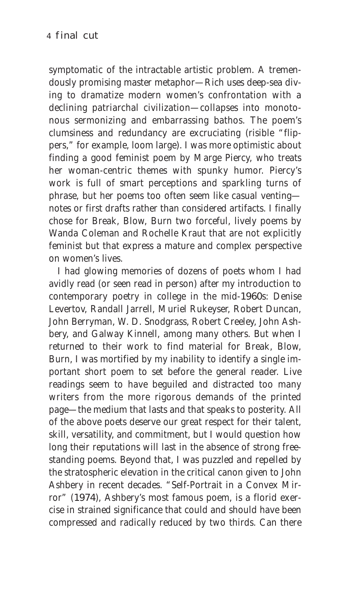symptomatic of the intractable artistic problem. A tremendously promising master metaphor—Rich uses deep-sea diving to dramatize modern women's confrontation with a declining patriarchal civilization—collapses into monotonous sermonizing and embarrassing bathos. The poem's clumsiness and redundancy are excruciating (risible "flippers," for example, loom large). I was more optimistic about finding a good feminist poem by Marge Piercy, who treats her woman-centric themes with spunky humor. Piercy's work is full of smart perceptions and sparkling turns of phrase, but her poems too often seem like casual venting notes or first drafts rather than considered artifacts. I finally chose for *Break, Blow, Burn* two forceful, lively poems by Wanda Coleman and Rochelle Kraut that are not explicitly feminist but that express a mature and complex perspective on women's lives.

I had glowing memories of dozens of poets whom I had avidly read (or seen read in person) after my introduction to contemporary poetry in college in the mid-1960s: Denise Levertov, Randall Jarrell, Muriel Rukeyser, Robert Duncan, John Berryman, W. D. Snodgrass, Robert Creeley, John Ashbery, and Galway Kinnell, among many others. But when I returned to their work to find material for *Break, Blow, Burn*, I was mortified by my inability to identify a single important short poem to set before the general reader. Live readings seem to have beguiled and distracted too many writers from the more rigorous demands of the printed page—the medium that lasts and that speaks to posterity. All of the above poets deserve our great respect for their talent, skill, versatility, and commitment, but I would question how long their reputations will last in the absence of strong freestanding poems. Beyond that, I was puzzled and repelled by the stratospheric elevation in the critical canon given to John Ashbery in recent decades. "Self-Portrait in a Convex Mirror" (1974), Ashbery's most famous poem, is a florid exercise in strained significance that could and should have been compressed and radically reduced by two thirds. Can there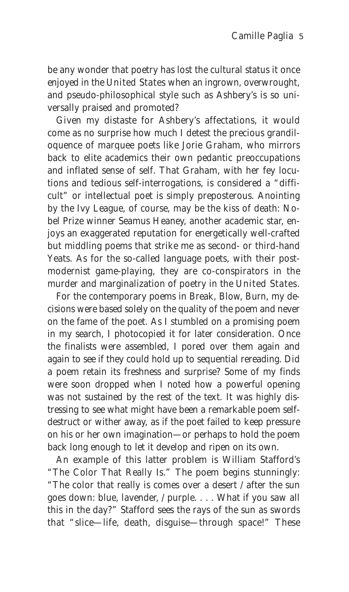be any wonder that poetry has lost the cultural status it once enjoyed in the United States when an ingrown, overwrought, and pseudo-philosophical style such as Ashbery's is so universally praised and promoted?

Given my distaste for Ashbery's affectations, it would come as no surprise how much I detest the precious grandiloquence of marquee poets like Jorie Graham, who mirrors back to elite academics their own pedantic preoccupations and inflated sense of self. That Graham, with her fey locutions and tedious self-interrogations, is considered a "difficult" or intellectual poet is simply preposterous. Anointing by the Ivy League, of course, may be the kiss of death: Nobel Prize winner Seamus Heaney, another academic star, enjoys an exaggerated reputation for energetically well-crafted but middling poems that strike me as second- or third-hand Yeats. As for the so-called language poets, with their postmodernist game-playing, they are co-conspirators in the murder and marginalization of poetry in the United States.

For the contemporary poems in *Break, Blow, Burn*, my decisions were based solely on the quality of the poem and never on the fame of the poet. As I stumbled on a promising poem in my search, I photocopied it for later consideration. Once the finalists were assembled, I pored over them again and again to see if they could hold up to sequential rereading. Did a poem retain its freshness and surprise? Some of my finds were soon dropped when I noted how a powerful opening was not sustained by the rest of the text. It was highly distressing to see what might have been a remarkable poem selfdestruct or wither away, as if the poet failed to keep pressure on his or her own imagination—or perhaps to hold the poem back long enough to let it develop and ripen on its own.

An example of this latter problem is William Stafford's "The Color That Really Is." The poem begins stunningly: "The color that really is comes over a desert / after the sun goes down: blue, lavender, / purple. . . . What if you saw all this in the day?" Stafford sees the rays of the sun as swords that "slice—life, death, disguise—through space!" These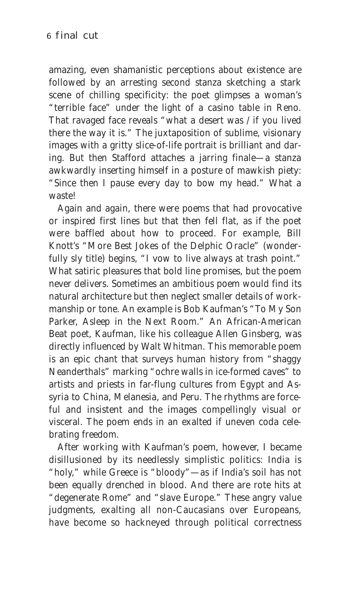amazing, even shamanistic perceptions about existence are followed by an arresting second stanza sketching a stark scene of chilling specificity: the poet glimpses a woman's "terrible face" under the light of a casino table in Reno. That ravaged face reveals "what a desert was / if you lived there the way it is." The juxtaposition of sublime, visionary images with a gritty slice-of-life portrait is brilliant and daring. But then Stafford attaches a jarring finale—a stanza awkwardly inserting himself in a posture of mawkish piety: "Since then I pause every day to bow my head." What a waste!

Again and again, there were poems that had provocative or inspired first lines but that then fell flat, as if the poet were baffled about how to proceed. For example, Bill Knott's "More Best Jokes of the Delphic Oracle" (wonderfully sly title) begins, "I vow to live always at trash point." What satiric pleasures that bold line promises, but the poem never delivers. Sometimes an ambitious poem would find its natural architecture but then neglect smaller details of workmanship or tone. An example is Bob Kaufman's "To My Son Parker, Asleep in the Next Room." An African-American Beat poet, Kaufman, like his colleague Allen Ginsberg, was directly influenced by Walt Whitman. This memorable poem is an epic chant that surveys human history from "shaggy Neanderthals" marking "ochre walls in ice-formed caves" to artists and priests in far-flung cultures from Egypt and Assyria to China, Melanesia, and Peru. The rhythms are forceful and insistent and the images compellingly visual or visceral. The poem ends in an exalted if uneven coda celebrating freedom.

After working with Kaufman's poem, however, I became disillusioned by its needlessly simplistic politics: India is "holy," while Greece is "bloody"—as if India's soil has not been equally drenched in blood. And there are rote hits at "degenerate Rome" and "slave Europe." These angry value judgments, exalting all non-Caucasians over Europeans, have become so hackneyed through political correctness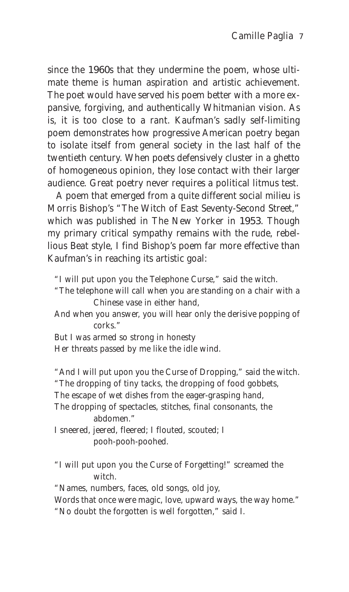since the 1960s that they undermine the poem, whose ultimate theme is human aspiration and artistic achievement. The poet would have served his poem better with a more expansive, forgiving, and authentically Whitmanian vision. As is, it is too close to a rant. Kaufman's sadly self-limiting poem demonstrates how progressive American poetry began to isolate itself from general society in the last half of the twentieth century. When poets defensively cluster in a ghetto of homogeneous opinion, they lose contact with their larger audience. Great poetry never requires a political litmus test.

A poem that emerged from a quite different social milieu is Morris Bishop's "The Witch of East Seventy-Second Street," which was published in *The New Yorker* in 1953. Though my primary critical sympathy remains with the rude, rebellious Beat style, I find Bishop's poem far more effective than Kaufman's in reaching its artistic goal:

"I will put upon you the Telephone Curse," said the witch.

- "The telephone will call when you are standing on a chair with a Chinese vase in either hand,
- And when you answer, you will hear only the derisive popping of corks."
- But I was armed so strong in honesty

Her threats passed by me like the idle wind.

"And I will put upon you the Curse of Dropping," said the witch. "The dropping of tiny tacks, the dropping of food gobbets,

The escape of wet dishes from the eager-grasping hand,

The dropping of spectacles, stitches, final consonants, the abdomen."

I sneered, jeered, fleered; I flouted, scouted; I pooh-pooh-poohed.

"I will put upon you the Curse of Forgetting!" screamed the witch.

"Names, numbers, faces, old songs, old joy,

Words that once were magic, love, upward ways, the way home."

"No doubt the forgotten is well forgotten," said I.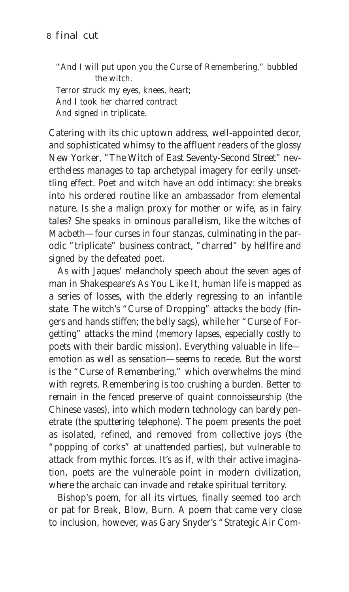"And I will put upon you the Curse of Remembering," bubbled the witch. Terror struck my eyes, knees, heart; And I took her charred contract And signed in triplicate.

Catering with its chic uptown address, well-appointed decor, and sophisticated whimsy to the affluent readers of the glossy *New Yorker*, "The Witch of East Seventy-Second Street" nevertheless manages to tap archetypal imagery for eerily unsettling effect. Poet and witch have an odd intimacy: she breaks into his ordered routine like an ambassador from elemental nature. Is she a malign proxy for mother or wife, as in fairy tales? She speaks in ominous parallelism, like the witches of *Macbeth*—four curses in four stanzas, culminating in the parodic "triplicate" business contract, "charred" by hellfire and signed by the defeated poet.

As with Jaques' melancholy speech about the seven ages of man in Shakespeare's *As You Like It*, human life is mapped as a series of losses, with the elderly regressing to an infantile state. The witch's "Curse of Dropping" attacks the body (fingers and hands stiffen; the belly sags), while her "Curse of Forgetting" attacks the mind (memory lapses, especially costly to poets with their bardic mission). Everything valuable in life emotion as well as sensation—seems to recede. But the worst is the "Curse of Remembering," which overwhelms the mind with regrets. Remembering is too crushing a burden. Better to remain in the fenced preserve of quaint connoisseurship (the Chinese vases), into which modern technology can barely penetrate (the sputtering telephone). The poem presents the poet as isolated, refined, and removed from collective joys (the "popping of corks" at unattended parties), but vulnerable to attack from mythic forces. It's as if, with their active imagination, poets are the vulnerable point in modern civilization, where the archaic can invade and retake spiritual territory.

Bishop's poem, for all its virtues, finally seemed too arch or pat for *Break, Blow, Burn*. A poem that came very close to inclusion, however, was Gary Snyder's "Strategic Air Com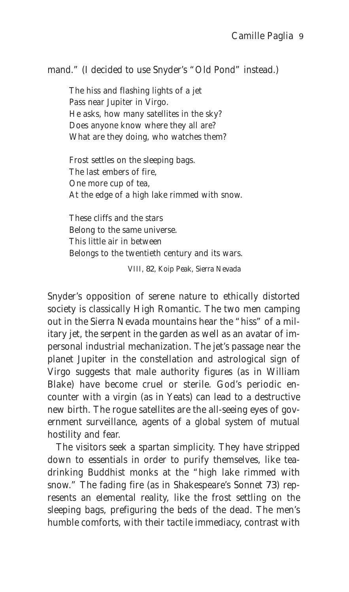mand." (I decided to use Snyder's "Old Pond" instead.)

The hiss and flashing lights of a jet Pass near Jupiter in Virgo. He asks, how many satellites in the sky? Does anyone know where they all are? What are they doing, who watches them?

Frost settles on the sleeping bags. The last embers of fire, One more cup of tea, At the edge of a high lake rimmed with snow.

These cliffs and the stars Belong to the same universe. This little air in between Belongs to the twentieth century and its wars.

*VIII, 82, Koip Peak, Sierra Nevada*

Snyder's opposition of serene nature to ethically distorted society is classically High Romantic. The two men camping out in the Sierra Nevada mountains hear the "hiss" of a military jet, the serpent in the garden as well as an avatar of impersonal industrial mechanization. The jet's passage near the planet Jupiter in the constellation and astrological sign of Virgo suggests that male authority figures (as in William Blake) have become cruel or sterile. God's periodic encounter with a virgin (as in Yeats) can lead to a destructive new birth. The rogue satellites are the all-seeing eyes of government surveillance, agents of a global system of mutual hostility and fear.

The visitors seek a spartan simplicity. They have stripped down to essentials in order to purify themselves, like teadrinking Buddhist monks at the "high lake rimmed with snow." The fading fire (as in Shakespeare's Sonnet 73) represents an elemental reality, like the frost settling on the sleeping bags, prefiguring the beds of the dead. The men's humble comforts, with their tactile immediacy, contrast with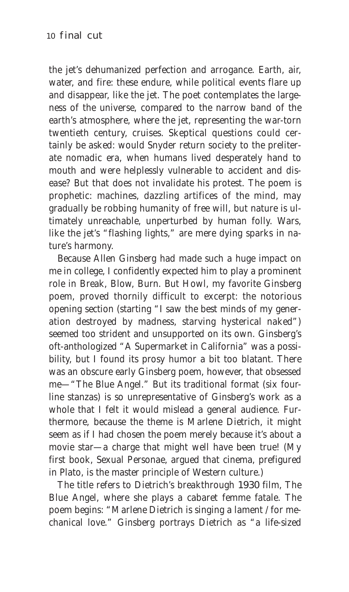the jet's dehumanized perfection and arrogance. Earth, air, water, and fire: these endure, while political events flare up and disappear, like the jet. The poet contemplates the largeness of the universe, compared to the narrow band of the earth's atmosphere, where the jet, representing the war-torn twentieth century, cruises. Skeptical questions could certainly be asked: would Snyder return society to the preliterate nomadic era, when humans lived desperately hand to mouth and were helplessly vulnerable to accident and disease? But that does not invalidate his protest. The poem is prophetic: machines, dazzling artifices of the mind, may gradually be robbing humanity of free will, but nature is ultimately unreachable, unperturbed by human folly. Wars, like the jet's "flashing lights," are mere dying sparks in nature's harmony.

Because Allen Ginsberg had made such a huge impact on me in college, I confidently expected him to play a prominent role in *Break, Blow, Burn*. But *Howl*, my favorite Ginsberg poem, proved thornily difficult to excerpt: the notorious opening section (starting "I saw the best minds of my generation destroyed by madness, starving hysterical naked") seemed too strident and unsupported on its own. Ginsberg's oft-anthologized "A Supermarket in California" was a possibility, but I found its prosy humor a bit too blatant. There was an obscure early Ginsberg poem, however, that obsessed me—"The Blue Angel." But its traditional format (six fourline stanzas) is so unrepresentative of Ginsberg's work as a whole that I felt it would mislead a general audience. Furthermore, because the theme is Marlene Dietrich, it might seem as if I had chosen the poem merely because it's about a movie star—a charge that might well have been true! (My first book, *Sexual Personae*, argued that cinema, prefigured in Plato, is the master principle of Western culture.)

The title refers to Dietrich's breakthrough 1930 film, *The Blue Angel*, where she plays a cabaret femme fatale. The poem begins: "Marlene Dietrich is singing a lament / for mechanical love." Ginsberg portrays Dietrich as "a life-sized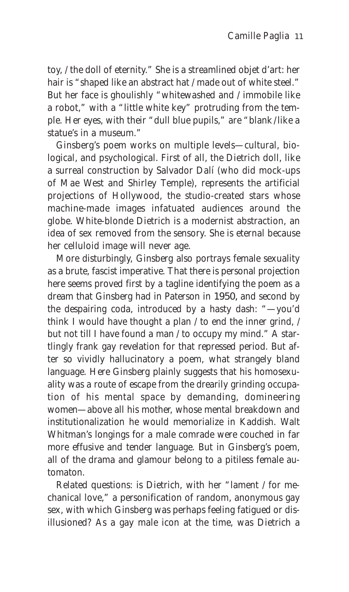toy, / the doll of eternity." She is a streamlined objet d'art: her hair is "shaped like an abstract hat / made out of white steel." But her face is ghoulishly "whitewashed and / immobile like a robot," with a "little white key" protruding from the temple. Her eyes, with their "dull blue pupils," are "blank/like a statue's in a museum."

Ginsberg's poem works on multiple levels—cultural, biological, and psychological. First of all, the Dietrich doll, like a surreal construction by Salvador Dalí (who did mock-ups of Mae West and Shirley Temple), represents the artificial projections of Hollywood, the studio-created stars whose machine-made images infatuated audiences around the globe. White-blonde Dietrich is a modernist abstraction, an *idea* of sex removed from the sensory. She is eternal because her celluloid image will never age.

More disturbingly, Ginsberg also portrays female sexuality as a brute, fascist imperative. That there is personal projection here seems proved first by a tagline identifying the poem as a dream that Ginsberg had in Paterson in 1950, and second by the despairing coda, introduced by a hasty dash: "—you'd think I would have thought a plan / to end the inner grind, / but not till I have found a man / to occupy my mind." A startlingly frank gay revelation for that repressed period. But after so vividly hallucinatory a poem, what strangely bland language. Here Ginsberg plainly suggests that his homosexuality was a route of escape from the drearily grinding occupation of his mental space by demanding, domineering women—above all his mother, whose mental breakdown and institutionalization he would memorialize in *Kaddish*. Walt Whitman's longings for a male comrade were couched in far more effusive and tender language. But in Ginsberg's poem, all of the drama and glamour belong to a pitiless female automaton.

Related questions: is Dietrich, with her "lament / for mechanical love," a personification of random, anonymous gay sex, with which Ginsberg was perhaps feeling fatigued or disillusioned? As a gay male icon at the time, was Dietrich a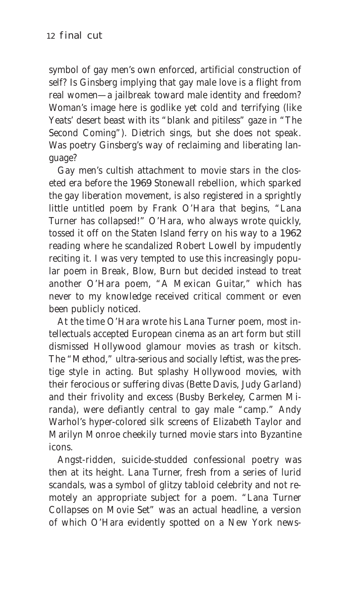symbol of gay men's own enforced, artificial construction of self? Is Ginsberg implying that gay male love is a flight from real women—a jailbreak toward male identity and freedom? Woman's image here is godlike yet cold and terrifying (like Yeats' desert beast with its "blank and pitiless" gaze in "The Second Coming"). Dietrich sings, but she does not speak. Was poetry Ginsberg's way of reclaiming and liberating language?

Gay men's cultish attachment to movie stars in the closeted era before the 1969 Stonewall rebellion, which sparked the gay liberation movement, is also registered in a sprightly little untitled poem by Frank O'Hara that begins, "Lana Turner has collapsed!" O'Hara, who always wrote quickly, tossed it off on the Staten Island ferry on his way to a 1962 reading where he scandalized Robert Lowell by impudently reciting it. I was very tempted to use this increasingly popular poem in *Break, Blow, Burn* but decided instead to treat another O'Hara poem, "A Mexican Guitar," which has never to my knowledge received critical comment or even been publicly noticed.

At the time O'Hara wrote his Lana Turner poem, most intellectuals accepted European cinema as an art form but still dismissed Hollywood glamour movies as trash or kitsch. The "Method," ultra-serious and socially leftist, was the prestige style in acting. But splashy Hollywood movies, with their ferocious or suffering divas (Bette Davis, Judy Garland) and their frivolity and excess (Busby Berkeley, Carmen Miranda), were defiantly central to gay male "camp." Andy Warhol's hyper-colored silk screens of Elizabeth Taylor and Marilyn Monroe cheekily turned movie stars into Byzantine icons.

Angst-ridden, suicide-studded confessional poetry was then at its height. Lana Turner, fresh from a series of lurid scandals, was a symbol of glitzy tabloid celebrity and not remotely an appropriate subject for a poem. "Lana Turner Collapses on Movie Set" was an actual headline, a version of which O'Hara evidently spotted on a New York news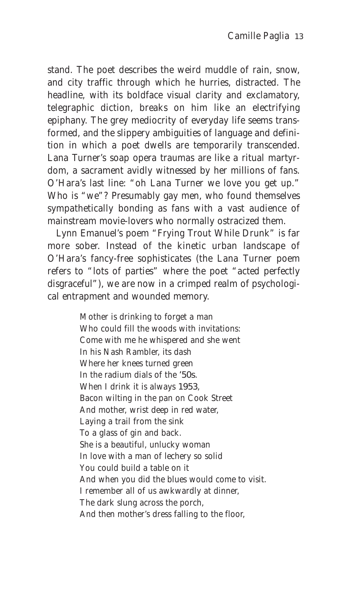stand. The poet describes the weird muddle of rain, snow, and city traffic through which he hurries, distracted. The headline, with its boldface visual clarity and exclamatory, telegraphic diction, breaks on him like an electrifying epiphany. The grey mediocrity of everyday life seems transformed, and the slippery ambiguities of language and definition in which a poet dwells are temporarily transcended. Lana Turner's soap opera traumas are like a ritual martyrdom, a sacrament avidly witnessed by her millions of fans. O'Hara's last line: "oh Lana Turner we love you get up." Who is "we"? Presumably gay men, who found themselves sympathetically bonding as fans with a vast audience of mainstream movie-lovers who normally ostracized them.

Lynn Emanuel's poem "Frying Trout While Drunk" is far more sober. Instead of the kinetic urban landscape of O'Hara's fancy-free sophisticates (the Lana Turner poem refers to "lots of parties" where the poet "acted perfectly disgraceful"), we are now in a crimped realm of psychological entrapment and wounded memory.

> Mother is drinking to forget a man Who could fill the woods with invitations: Come with me he whispered and she went In his Nash Rambler, its dash Where her knees turned green In the radium dials of the '50s. When I drink it is always 1953, Bacon wilting in the pan on Cook Street And mother, wrist deep in red water, Laying a trail from the sink To a glass of gin and back. She is a beautiful, unlucky woman In love with a man of lechery so solid You could build a table on it And when you did the blues would come to visit. I remember all of us awkwardly at dinner, The dark slung across the porch, And then mother's dress falling to the floor,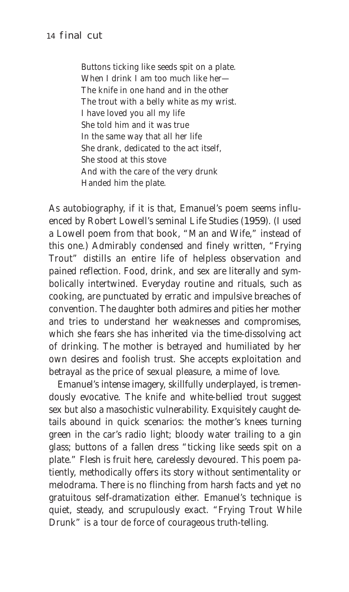Buttons ticking like seeds spit on a plate. When I drink I am too much like her-The knife in one hand and in the other The trout with a belly white as my wrist. I have loved you all my life She told him and it was true In the same way that all her life She drank, dedicated to the act itself, She stood at this stove And with the care of the very drunk Handed him the plate.

As autobiography, if it is that, Emanuel's poem seems influenced by Robert Lowell's seminal *Life Studies* (1959). (I used a Lowell poem from that book, "Man and Wife," instead of this one.) Admirably condensed and finely written, "Frying Trout" distills an entire life of helpless observation and pained reflection. Food, drink, and sex are literally and symbolically intertwined. Everyday routine and rituals, such as cooking, are punctuated by erratic and impulsive breaches of convention. The daughter both admires and pities her mother and tries to understand her weaknesses and compromises, which she fears she has inherited via the time-dissolving act of drinking. The mother is betrayed and humiliated by her own desires and foolish trust. She accepts exploitation and betrayal as the price of sexual pleasure, a mime of love.

Emanuel's intense imagery, skillfully underplayed, is tremendously evocative. The knife and white-bellied trout suggest sex but also a masochistic vulnerability. Exquisitely caught details abound in quick scenarios: the mother's knees turning green in the car's radio light; bloody water trailing to a gin glass; buttons of a fallen dress "ticking like seeds spit on a plate." Flesh is fruit here, carelessly devoured. This poem patiently, methodically offers its story without sentimentality or melodrama. There is no flinching from harsh facts and yet no gratuitous self-dramatization either. Emanuel's technique is quiet, steady, and scrupulously exact. "Frying Trout While Drunk" is a tour de force of courageous truth-telling.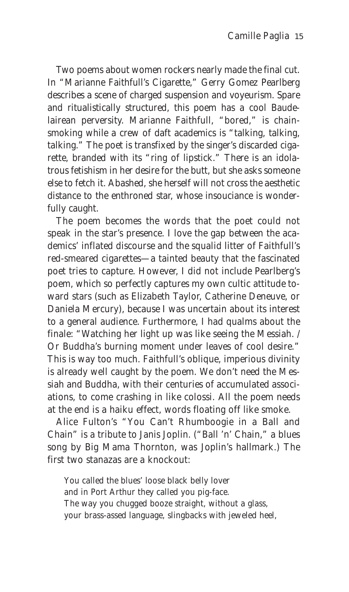Two poems about women rockers nearly made the final cut. In "Marianne Faithfull's Cigarette," Gerry Gomez Pearlberg describes a scene of charged suspension and voyeurism. Spare and ritualistically structured, this poem has a cool Baudelairean perversity. Marianne Faithfull, "bored," is chainsmoking while a crew of daft academics is "talking, talking, talking." The poet is transfixed by the singer's discarded cigarette, branded with its "ring of lipstick." There is an idolatrous fetishism in her desire for the butt, but she asks someone else to fetch it. Abashed, she herself will not cross the aesthetic distance to the enthroned star, whose insouciance is wonderfully caught.

The poem becomes the words that the poet could not speak in the star's presence. I love the gap between the academics' inflated discourse and the squalid litter of Faithfull's red-smeared cigarettes—a tainted beauty that the fascinated poet tries to capture. However, I did not include Pearlberg's poem, which so perfectly captures my own cultic attitude toward stars (such as Elizabeth Taylor, Catherine Deneuve, or Daniela Mercury), because I was uncertain about its interest to a general audience. Furthermore, I had qualms about the finale: "Watching her light up was like seeing the Messiah. / Or Buddha's burning moment under leaves of cool desire." This is way too much. Faithfull's oblique, imperious divinity is already well caught by the poem. We don't need the Messiah and Buddha, with their centuries of accumulated associations, to come crashing in like colossi. All the poem needs at the end is a haiku effect, words floating off like smoke.

Alice Fulton's "You Can't Rhumboogie in a Ball and Chain" is a tribute to Janis Joplin. ("Ball 'n' Chain," a blues song by Big Mama Thornton, was Joplin's hallmark.) The first two stanazas are a knockout:

You called the blues' loose black belly lover and in Port Arthur they called you pig-face. The way you chugged booze straight, without a glass, your brass-assed language, slingbacks with jeweled heel,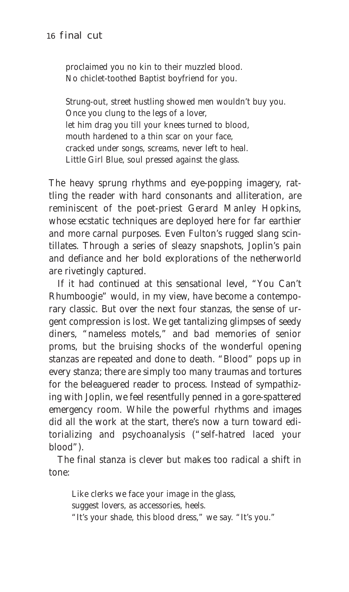proclaimed you no kin to their muzzled blood. No chiclet-toothed Baptist boyfriend for you.

Strung-out, street hustling showed men wouldn't buy you. Once you clung to the legs of a lover, let him drag you till your knees turned to blood, mouth hardened to a thin scar on your face, cracked under songs, screams, never left to heal. Little Girl Blue, soul pressed against the glass.

The heavy sprung rhythms and eye-popping imagery, rattling the reader with hard consonants and alliteration, are reminiscent of the poet-priest Gerard Manley Hopkins, whose ecstatic techniques are deployed here for far earthier and more carnal purposes. Even Fulton's rugged slang scintillates. Through a series of sleazy snapshots, Joplin's pain and defiance and her bold explorations of the netherworld are rivetingly captured.

If it had continued at this sensational level, "You Can't Rhumboogie" would, in my view, have become a contemporary classic. But over the next four stanzas, the sense of urgent compression is lost. We get tantalizing glimpses of seedy diners, "nameless motels," and bad memories of senior proms, but the bruising shocks of the wonderful opening stanzas are repeated and done to death. "Blood" pops up in every stanza; there are simply too many traumas and tortures for the beleaguered reader to process. Instead of sympathizing with Joplin, we feel resentfully penned in a gore-spattered emergency room. While the powerful rhythms and images did all the work at the start, there's now a turn toward editorializing and psychoanalysis ("self-hatred laced your blood").

The final stanza is clever but makes too radical a shift in tone:

Like clerks we face your image in the glass, suggest lovers, as accessories, heels. "It's your shade, this blood dress," we say. "It's you."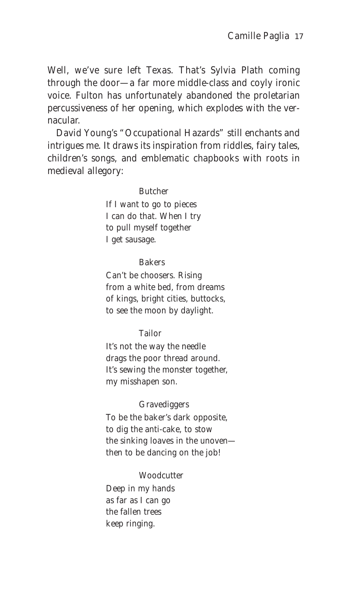Well, we've sure left Texas. That's Sylvia Plath coming through the door—a far more middle-class and coyly ironic voice. Fulton has unfortunately abandoned the proletarian percussiveness of her opening, which explodes with the vernacular.

David Young's "Occupational Hazards" still enchants and intrigues me. It draws its inspiration from riddles, fairy tales, children's songs, and emblematic chapbooks with roots in medieval allegory:

### *Butcher*

If I want to go to pieces I can do that. When I try to pull myself together I get sausage.

#### *Bakers*

Can't be choosers. Rising from a white bed, from dreams of kings, bright cities, buttocks, to see the moon by daylight.

### *Tailor*

It's not the way the needle drags the poor thread around. It's sewing the monster together, my misshapen son.

### *Gravediggers*

To be the baker's dark opposite, to dig the anti-cake, to stow the sinking loaves in the unoven then to be dancing on the job!

### *Woodcutter*

Deep in my hands as far as I can go the fallen trees keep ringing.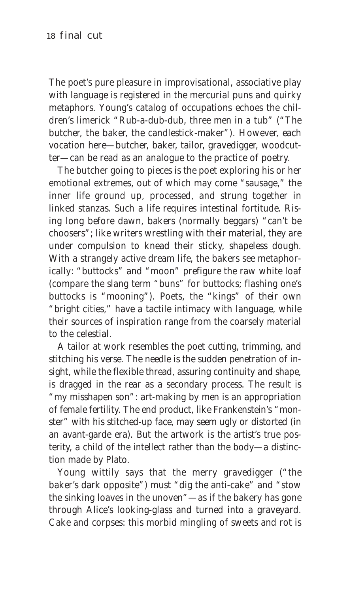The poet's pure pleasure in improvisational, associative play with language is registered in the mercurial puns and quirky metaphors. Young's catalog of occupations echoes the children's limerick "Rub-a-dub-dub, three men in a tub" ("The butcher, the baker, the candlestick-maker"). However, each vocation here—butcher, baker, tailor, gravedigger, woodcutter—can be read as an analogue to the practice of poetry.

The butcher going to pieces is the poet exploring his or her emotional extremes, out of which may come "sausage," the inner life ground up, processed, and strung together in linked stanzas. Such a life requires intestinal fortitude. Rising long before dawn, bakers (normally beggars) "can't be choosers"; like writers wrestling with their material, they are under compulsion to knead their sticky, shapeless dough. With a strangely active dream life, the bakers see metaphorically: "buttocks" and "moon" prefigure the raw white loaf (compare the slang term "buns" for buttocks; flashing one's buttocks is "mooning"). Poets, the "kings" of their own "bright cities," have a tactile intimacy with language, while their sources of inspiration range from the coarsely material to the celestial.

A tailor at work resembles the poet cutting, trimming, and stitching his verse. The needle is the sudden penetration of insight, while the flexible thread, assuring continuity and shape, is dragged in the rear as a secondary process. The result is "my misshapen son": art-making by men is an appropriation of female fertility. The end product, like Frankenstein's "monster" with his stitched-up face, may seem ugly or distorted (in an avant-garde era). But the artwork is the artist's true posterity, a child of the intellect rather than the body—a distinction made by Plato.

Young wittily says that the merry gravedigger ("the baker's dark opposite") must "dig the anti-cake" and "stow the sinking loaves in the unoven"—as if the bakery has gone through Alice's looking-glass and turned into a graveyard. Cake and corpses: this morbid mingling of sweets and rot is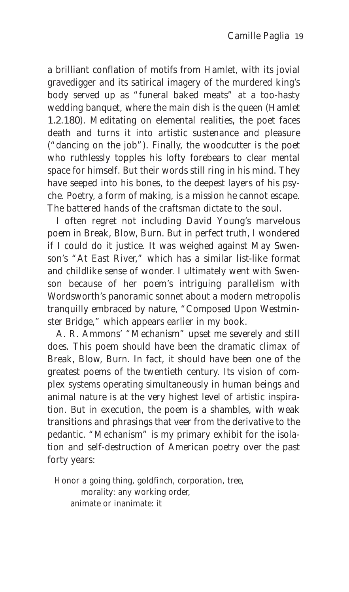a brilliant conflation of motifs from *Hamlet*, with its jovial gravedigger and its satirical imagery of the murdered king's body served up as "funeral baked meats" at a too-hasty wedding banquet, where the main dish is the queen (*Hamlet* 1.2.180). Meditating on elemental realities, the poet faces death and turns it into artistic sustenance and pleasure ("dancing on the job"). Finally, the woodcutter is the poet who ruthlessly topples his lofty forebears to clear mental space for himself. But their words still ring in his mind. They have seeped into his bones, to the deepest layers of his psyche. Poetry, a form of making, is a mission he cannot escape. The battered hands of the craftsman dictate to the soul.

I often regret not including David Young's marvelous poem in *Break, Blow, Burn*. But in perfect truth, I wondered if I could do it justice. It was weighed against May Swenson's "At East River," which has a similar list-like format and childlike sense of wonder. I ultimately went with Swenson because of her poem's intriguing parallelism with Wordsworth's panoramic sonnet about a modern metropolis tranquilly embraced by nature, "Composed Upon Westminster Bridge," which appears earlier in my book.

A. R. Ammons' "Mechanism" upset me severely and still does. This poem should have been the dramatic climax of *Break, Blow, Burn*. In fact, it should have been one of the greatest poems of the twentieth century. Its vision of complex systems operating simultaneously in human beings and animal nature is at the very highest level of artistic inspiration. But in execution, the poem is a shambles, with weak transitions and phrasings that veer from the derivative to the pedantic. "Mechanism" is my primary exhibit for the isolation and self-destruction of American poetry over the past forty years:

Honor a going thing, goldfinch, corporation, tree, morality: any working order, animate or inanimate: it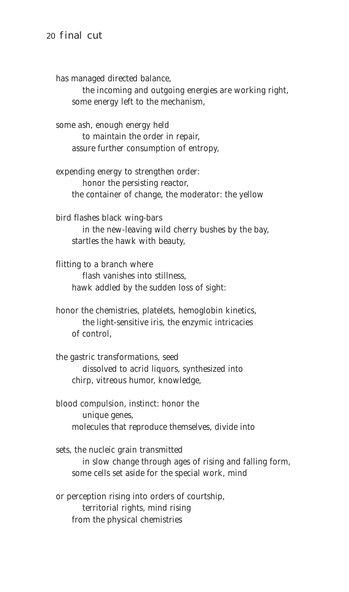## 20 final cut

has managed directed balance,

the incoming and outgoing energies are working right, some energy left to the mechanism,

some ash, enough energy held to maintain the order in repair, assure further consumption of entropy,

expending energy to strengthen order: honor the persisting reactor, the container of change, the moderator: the yellow

bird flashes black wing-bars in the new-leaving wild cherry bushes by the bay, startles the hawk with beauty,

flitting to a branch where flash vanishes into stillness, hawk addled by the sudden loss of sight:

honor the chemistries, platelets, hemoglobin kinetics, the light-sensitive iris, the enzymic intricacies of control,

the gastric transformations, seed dissolved to acrid liquors, synthesized into chirp, vitreous humor, knowledge,

blood compulsion, instinct: honor the unique genes, molecules that reproduce themselves, divide into

sets, the nucleic grain transmitted in slow change through ages of rising and falling form, some cells set aside for the special work, mind

or perception rising into orders of courtship, territorial rights, mind rising from the physical chemistries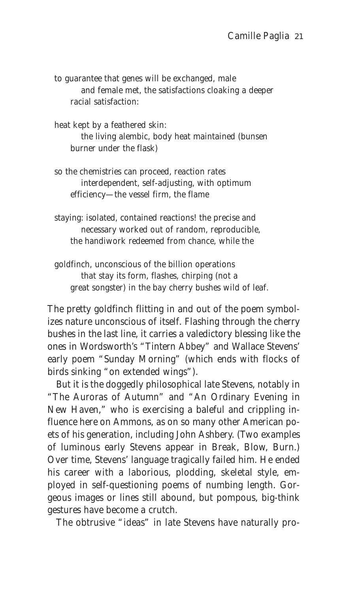to guarantee that genes will be exchanged, male and female met, the satisfactions cloaking a deeper racial satisfaction:

heat kept by a feathered skin: the living alembic, body heat maintained (bunsen burner under the flask)

- so the chemistries can proceed, reaction rates interdependent, self-adjusting, with optimum efficiency—the vessel firm, the flame
- staying: isolated, contained reactions! the precise and necessary worked out of random, reproducible, the handiwork redeemed from chance, while the

goldfinch, unconscious of the billion operations that stay its form, flashes, chirping (not a great songster) in the bay cherry bushes wild of leaf.

The pretty goldfinch flitting in and out of the poem symbolizes nature unconscious of itself. Flashing through the cherry bushes in the last line, it carries a valedictory blessing like the ones in Wordsworth's "Tintern Abbey" and Wallace Stevens' early poem "Sunday Morning" (which ends with flocks of birds sinking "on extended wings").

But it is the doggedly philosophical late Stevens, notably in "The Auroras of Autumn" and "An Ordinary Evening in New Haven," who is exercising a baleful and crippling influence here on Ammons, as on so many other American poets of his generation, including John Ashbery. (Two examples of luminous early Stevens appear in *Break, Blow, Burn*.) Over time, Stevens' language tragically failed him. He ended his career with a laborious, plodding, skeletal style, employed in self-questioning poems of numbing length. Gorgeous images or lines still abound, but pompous, big-think gestures have become a crutch.

The obtrusive "ideas" in late Stevens have naturally pro-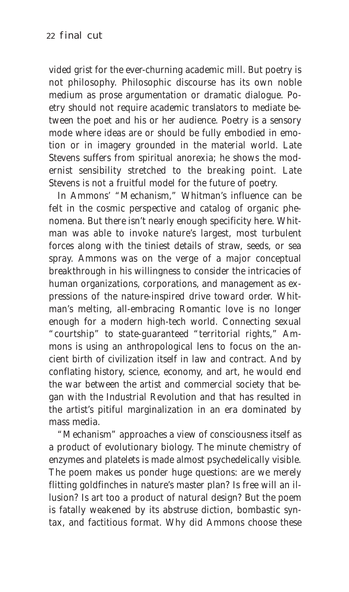vided grist for the ever-churning academic mill. But poetry is not philosophy. Philosophic discourse has its own noble medium as prose argumentation or dramatic dialogue. Poetry should not require academic translators to mediate between the poet and his or her audience. Poetry is a sensory mode where ideas are or should be fully embodied in emotion or in imagery grounded in the material world. Late Stevens suffers from spiritual anorexia; he shows the modernist sensibility stretched to the breaking point. Late Stevens is not a fruitful model for the future of poetry.

In Ammons' "Mechanism," Whitman's influence can be felt in the cosmic perspective and catalog of organic phenomena. But there isn't nearly enough specificity here. Whitman was able to invoke nature's largest, most turbulent forces along with the tiniest details of straw, seeds, or sea spray. Ammons was on the verge of a major conceptual breakthrough in his willingness to consider the intricacies of human organizations, corporations, and management as expressions of the nature-inspired drive toward order. Whitman's melting, all-embracing Romantic love is no longer enough for a modern high-tech world. Connecting sexual "courtship" to state-guaranteed "territorial rights," Ammons is using an anthropological lens to focus on the ancient birth of civilization itself in law and contract. And by conflating history, science, economy, and art, he would end the war between the artist and commercial society that began with the Industrial Revolution and that has resulted in the artist's pitiful marginalization in an era dominated by mass media.

"Mechanism" approaches a view of consciousness itself as a product of evolutionary biology. The minute chemistry of enzymes and platelets is made almost psychedelically visible. The poem makes us ponder huge questions: are we merely flitting goldfinches in nature's master plan? Is free will an illusion? Is art too a product of natural design? But the poem is fatally weakened by its abstruse diction, bombastic syntax, and factitious format. Why did Ammons choose these